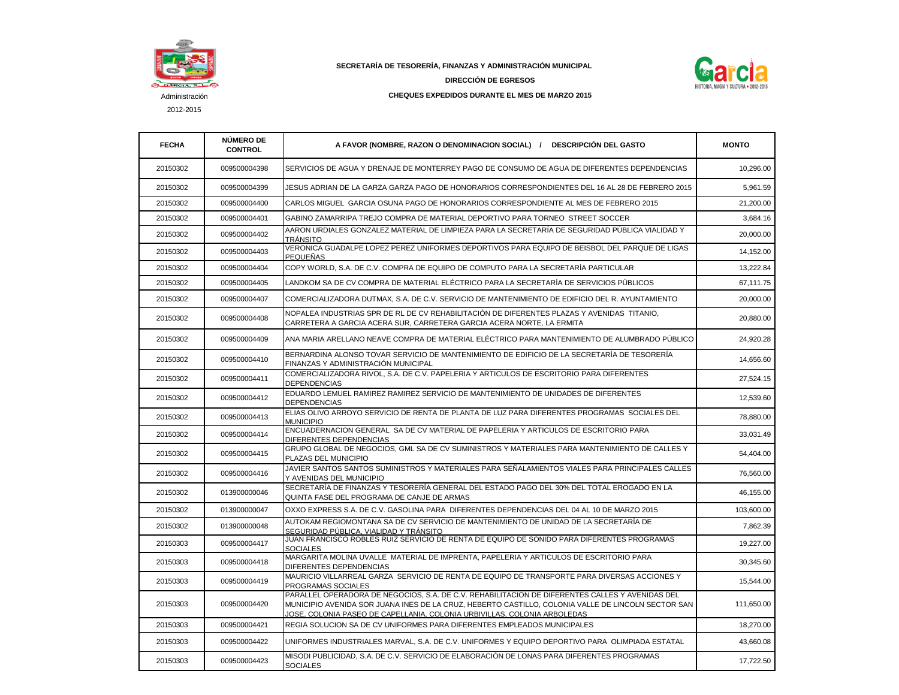

2012-2015

 **SECRETARÍA DE TESORERÍA, FINANZAS Y ADMINISTRACIÓN MUNICIPAL** 



**DIRECCIÓN DE EGRESOS CHEQUES EXPEDIDOS DURANTE EL MES DE MARZO 2015**

| <b>FECHA</b> | <b>NÚMERO DE</b><br><b>CONTROL</b> | A FAVOR (NOMBRE, RAZON O DENOMINACION SOCIAL) / DESCRIPCIÓN DEL GASTO                                                                                                                                                                                                                     | <b>MONTO</b> |
|--------------|------------------------------------|-------------------------------------------------------------------------------------------------------------------------------------------------------------------------------------------------------------------------------------------------------------------------------------------|--------------|
| 20150302     | 009500004398                       | SERVICIOS DE AGUA Y DRENAJE DE MONTERREY PAGO DE CONSUMO DE AGUA DE DIFERENTES DEPENDENCIAS                                                                                                                                                                                               | 10,296.00    |
| 20150302     | 009500004399                       | JESUS ADRIAN DE LA GARZA GARZA PAGO DE HONORARIOS CORRESPONDIENTES DEL 16 AL 28 DE FEBRERO 2015                                                                                                                                                                                           | 5,961.59     |
| 20150302     | 009500004400                       | CARLOS MIGUEL  GARCIA OSUNA PAGO DE HONORARIOS CORRESPONDIENTE AL MES DE FEBRERO 2015                                                                                                                                                                                                     | 21,200.00    |
| 20150302     | 009500004401                       | GABINO ZAMARRIPA TREJO COMPRA DE MATERIAL DEPORTIVO PARA TORNEO STREET SOCCER                                                                                                                                                                                                             | 3,684.16     |
| 20150302     | 009500004402                       | AARON URDIALES GONZALEZ MATERIAL DE LIMPIEZA PARA LA SECRETARÍA DE SEGURIDAD PÚBLICA VIALIDAD Y<br><b>TRÁNSITO</b>                                                                                                                                                                        | 20,000.00    |
| 20150302     | 009500004403                       | VERONICA GUADALPE LOPEZ PEREZ UNIFORMES DEPORTIVOS PARA EQUIPO DE BEISBOL DEL PARQUE DE LIGAS<br><b>PEQUEÑAS</b>                                                                                                                                                                          | 14,152.00    |
| 20150302     | 009500004404                       | COPY WORLD. S.A. DE C.V. COMPRA DE EQUIPO DE COMPUTO PARA LA SECRETARÍA PARTICULAR                                                                                                                                                                                                        | 13,222.84    |
| 20150302     | 009500004405                       | LANDKOM SA DE CV COMPRA DE MATERIAL ELÉCTRICO PARA LA SECRETARÍA DE SERVICIOS PÚBLICOS                                                                                                                                                                                                    | 67,111.75    |
| 20150302     | 009500004407                       | COMERCIALIZADORA DUTMAX, S.A. DE C.V. SERVICIO DE MANTENIMIENTO DE EDIFICIO DEL R. AYUNTAMIENTO                                                                                                                                                                                           | 20,000.00    |
| 20150302     | 009500004408                       | NOPALEA INDUSTRIAS SPR DE RL DE CV REHABILITACIÓN DE DIFERENTES PLAZAS Y AVENIDAS TITANIO.<br>CARRETERA A GARCIA ACERA SUR, CARRETERA GARCIA ACERA NORTE, LA ERMITA                                                                                                                       | 20,880.00    |
| 20150302     | 009500004409                       | ANA MARIA ARELLANO NEAVE COMPRA DE MATERIAL ELÉCTRICO PARA MANTENIMIENTO DE ALUMBRADO PÚBLICO                                                                                                                                                                                             | 24,920.28    |
| 20150302     | 009500004410                       | BERNARDINA ALONSO TOVAR SERVICIO DE MANTENIMIENTO DE EDIFICIO DE LA SECRETARÍA DE TESORERÍA<br>FINANZAS Y ADMINISTRACIÓN MUNICIPAL                                                                                                                                                        | 14,656.60    |
| 20150302     | 009500004411                       | COMERCIALIZADORA RIVOL, S.A. DE C.V. PAPELERIA Y ARTICULOS DE ESCRITORIO PARA DIFERENTES<br><b>DEPENDENCIAS</b>                                                                                                                                                                           | 27,524.15    |
| 20150302     | 009500004412                       | EDUARDO LEMUEL RAMIREZ RAMIREZ SERVICIO DE MANTENIMIENTO DE UNIDADES DE DIFERENTES<br><b>DEPENDENCIAS</b>                                                                                                                                                                                 | 12,539.60    |
| 20150302     | 009500004413                       | ELIAS OLIVO ARROYO SERVICIO DE RENTA DE PLANTA DE LUZ PARA DIFERENTES PROGRAMAS SOCIALES DEL<br><b>MUNICIPIO</b>                                                                                                                                                                          | 78,880.00    |
| 20150302     | 009500004414                       | ENCUADERNACION GENERAL SA DE CV MATERIAL DE PAPELERIA Y ARTICULOS DE ESCRITORIO PARA<br>DIFERENTES DEPENDENCIAS                                                                                                                                                                           | 33,031.49    |
| 20150302     | 009500004415                       | GRUPO GLOBAL DE NEGOCIOS, GML SA DE CV SUMINISTROS Y MATERIALES PARA MANTENIMIENTO DE CALLES Y<br>PLAZAS DEL MUNICIPIO                                                                                                                                                                    | 54,404.00    |
| 20150302     | 009500004416                       | JAVIER SANTOS SANTOS SUMINISTROS Y MATERIALES PARA SEÑALAMIENTOS VIALES PARA PRINCIPALES CALLES<br>Y AVENIDAS DEL MUNICIPIO                                                                                                                                                               | 76,560.00    |
| 20150302     | 013900000046                       | SECRETARÍA DE FINANZAS Y TESORERÍA GENERAL DEL ESTADO PAGO DEL 30% DEL TOTAL EROGADO EN LA<br>QUINTA FASE DEL PROGRAMA DE CANJE DE ARMAS                                                                                                                                                  | 46,155.00    |
| 20150302     | 013900000047                       | OXXO EXPRESS S.A. DE C.V. GASOLINA PARA DIFERENTES DEPENDENCIAS DEL 04 AL 10 DE MARZO 2015                                                                                                                                                                                                | 103,600.00   |
| 20150302     | 013900000048                       | AUTOKAM REGIOMONTANA SA DE CV SERVICIO DE MANTENIMIENTO DE UNIDAD DE LA SECRETARÍA DE<br>SEGURIDAD PÚBLICA, VIALIDAD Y TRÁNSITO                                                                                                                                                           | 7,862.39     |
| 20150303     | 009500004417                       | JUAN FRANCISCO ROBLES RUIZ SERVICIO DE RENTA DE EQUIPO DE SONIDO PARA DIFERENTES PROGRAMAS<br><b>SOCIALES</b>                                                                                                                                                                             | 19,227.00    |
| 20150303     | 009500004418                       | MARGARITA MOLINA UVALLE MATERIAL DE IMPRENTA, PAPELERIA Y ARTICULOS DE ESCRITORIO PARA<br>DIFERENTES DEPENDENCIAS                                                                                                                                                                         | 30,345.60    |
| 20150303     | 009500004419                       | MAURICIO VILLARREAL GARZA SERVICIO DE RENTA DE EQUIPO DE TRANSPORTE PARA DIVERSAS ACCIONES Y<br>PROGRAMAS SOCIALES                                                                                                                                                                        | 15,544.00    |
| 20150303     | 009500004420                       | PARALLEL OPERADORA DE NEGOCIOS, S.A. DE C.V. REHABILITACION DE DIFERENTES CALLES Y AVENIDAS DEL<br>MUNICIPIO AVENIDA SOR JUANA INES DE LA CRUZ, HEBERTO CASTILLO, COLONIA VALLE DE LINCOLN SECTOR SAN<br><u>JOSE, COLONIA PASEO DE CAPELLANIA, COLONIA URBIVILLAS, COLONIA ARBOLEDAS </u> | 111,650.00   |
| 20150303     | 009500004421                       | REGIA SOLUCION SA DE CV UNIFORMES PARA DIFERENTES EMPLEADOS MUNICIPALES                                                                                                                                                                                                                   | 18,270.00    |
| 20150303     | 009500004422                       | UNIFORMES INDUSTRIALES MARVAL, S.A. DE C.V. UNIFORMES Y EQUIPO DEPORTIVO PARA  OLIMPIADA ESTATAL                                                                                                                                                                                          | 43,660.08    |
| 20150303     | 009500004423                       | MISODI PUBLICIDAD, S.A. DE C.V. SERVICIO DE ELABORACIÓN DE LONAS PARA DIFERENTES PROGRAMAS<br><b>SOCIALES</b>                                                                                                                                                                             | 17,722.50    |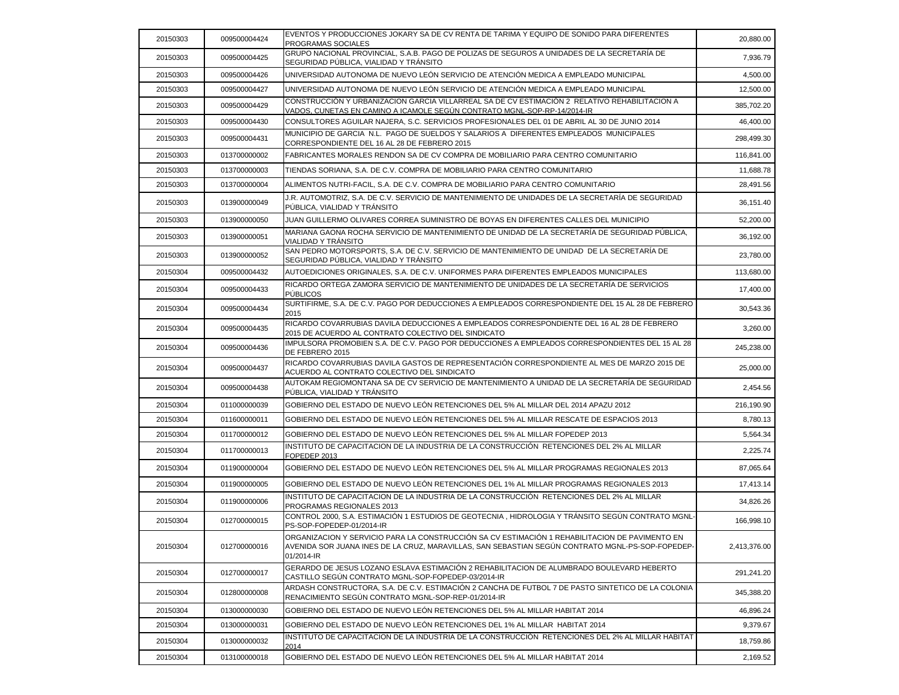| 20150303 | 009500004424 | EVENTOS Y PRODUCCIONES JOKARY SA DE CV RENTA DE TARIMA Y EQUIPO DE SONIDO PARA DIFERENTES<br>PROGRAMAS SOCIALES                                                                                                  | 20,880.00    |
|----------|--------------|------------------------------------------------------------------------------------------------------------------------------------------------------------------------------------------------------------------|--------------|
| 20150303 | 009500004425 | GRUPO NACIONAL PROVINCIAL, S.A.B. PAGO DE POLIZAS DE SEGUROS A UNIDADES DE LA SECRETARÍA DE<br>SEGURIDAD PÚBLICA, VIALIDAD Y TRÁNSITO                                                                            | 7,936.79     |
| 20150303 | 009500004426 | UNIVERSIDAD AUTONOMA DE NUEVO LEÓN SERVICIO DE ATENCIÓN MEDICA A EMPLEADO MUNICIPAL                                                                                                                              | 4,500.00     |
| 20150303 | 009500004427 | UNIVERSIDAD AUTONOMA DE NUEVO LEÓN SERVICIO DE ATENCIÓN MEDICA A EMPLEADO MUNICIPAL                                                                                                                              | 12,500.00    |
| 20150303 | 009500004429 | CONSTRUCCIÓN Y URBANIZACION GARCIA VILLARREAL SA DE CV ESTIMACIÓN 2 RELATIVO REHABILITACION A<br>VADOS, CUNETAS EN CAMINO A ICAMOLE SEGUN CONTRATO MGNL-SOP-RP-14/2014-IR                                        | 385,702.20   |
| 20150303 | 009500004430 | CONSULTORES AGUILAR NAJERA, S.C. SERVICIOS PROFESIONALES DEL 01 DE ABRIL AL 30 DE JUNIO 2014                                                                                                                     | 46,400.00    |
| 20150303 | 009500004431 | MUNICIPIO DE GARCIA N.L. PAGO DE SUELDOS Y SALARIOS A DIFERENTES EMPLEADOS MUNICIPALES<br>CORRESPONDIENTE DEL 16 AL 28 DE FEBRERO 2015                                                                           | 298,499.30   |
| 20150303 | 013700000002 | FABRICANTES MORALES RENDON SA DE CV COMPRA DE MOBILIARIO PARA CENTRO COMUNITARIO                                                                                                                                 | 116,841.00   |
| 20150303 | 013700000003 | TIENDAS SORIANA, S.A. DE C.V. COMPRA DE MOBILIARIO PARA CENTRO COMUNITARIO                                                                                                                                       | 11,688.78    |
| 20150303 | 013700000004 | ALIMENTOS NUTRI-FACIL, S.A. DE C.V. COMPRA DE MOBILIARIO PARA CENTRO COMUNITARIO                                                                                                                                 | 28,491.56    |
| 20150303 | 013900000049 | J.R. AUTOMOTRIZ, S.A. DE C.V. SERVICIO DE MANTENIMIENTO DE UNIDADES DE LA SECRETARÍA DE SEGURIDAD<br>PÚBLICA, VIALIDAD Y TRANSITO                                                                                | 36,151.40    |
| 20150303 | 013900000050 | JUAN GUILLERMO OLIVARES CORREA SUMINISTRO DE BOYAS EN DIFERENTES CALLES DEL MUNICIPIO                                                                                                                            | 52,200.00    |
| 20150303 | 013900000051 | MARIANA GAONA ROCHA SERVICIO DE MANTENIMIENTO DE UNIDAD DE LA SECRETARÍA DE SEGURIDAD PÚBLICA,<br>VIALIDAD Y TRÁNSITO                                                                                            | 36,192.00    |
| 20150303 | 013900000052 | SAN PEDRO MOTORSPORTS, S.A. DE C.V. SERVICIO DE MANTENIMIENTO DE UNIDAD DE LA SECRETARÍA DE<br>SEGURIDAD PÚBLICA, VIALIDAD Y TRÁNSITO                                                                            | 23,780.00    |
| 20150304 | 009500004432 | AUTOEDICIONES ORIGINALES, S.A. DE C.V. UNIFORMES PARA DIFERENTES EMPLEADOS MUNICIPALES                                                                                                                           | 113,680.00   |
| 20150304 | 009500004433 | RICARDO ORTEGA ZAMORA SERVICIO DE MANTENIMIENTO DE UNIDADES DE LA SECRETARÍA DE SERVICIOS<br><b>PÚBLICOS</b>                                                                                                     | 17,400.00    |
| 20150304 | 009500004434 | SURTIFIRME, S.A. DE C.V. PAGO POR DEDUCCIONES A EMPLEADOS CORRESPONDIENTE DEL 15 AL 28 DE FEBRERO<br>2015                                                                                                        | 30,543.36    |
| 20150304 | 009500004435 | RICARDO COVARRUBIAS DAVILA DEDUCCIONES A EMPLEADOS CORRESPONDIENTE DEL 16 AL 28 DE FEBRERO<br>2015 DE ACUERDO AL CONTRATO COLECTIVO DEL SINDICATO                                                                | 3,260.00     |
| 20150304 | 009500004436 | IMPULSORA PROMOBIEN S.A. DE C.V. PAGO POR DEDUCCIONES A EMPLEADOS CORRESPONDIENTES DEL 15 AL 28<br>DE FEBRERO 2015                                                                                               | 245,238.00   |
| 20150304 | 009500004437 | RICARDO COVARRUBIAS DAVILA GASTOS DE REPRESENTACIÓN CORRESPONDIENTE AL MES DE MARZO 2015 DE<br>ACUERDO AL CONTRATO COLECTIVO DEL SINDICATO                                                                       | 25,000.00    |
| 20150304 | 009500004438 | AUTOKAM REGIOMONTANA SA DE CV SERVICIO DE MANTENIMIENTO A UNIDAD DE LA SECRETARÍA DE SEGURIDAD<br>PUBLICA, VIALIDAD Y TRANSITO                                                                                   | 2,454.56     |
| 20150304 | 011000000039 | GOBIERNO DEL ESTADO DE NUEVO LEÓN RETENCIONES DEL 5% AL MILLAR DEL 2014 APAZU 2012                                                                                                                               | 216,190.90   |
| 20150304 | 011600000011 | GOBIERNO DEL ESTADO DE NUEVO LEÓN RETENCIONES DEL 5% AL MILLAR RESCATE DE ESPACIOS 2013                                                                                                                          | 8,780.13     |
| 20150304 | 011700000012 | GOBIERNO DEL ESTADO DE NUEVO LEÓN RETENCIONES DEL 5% AL MILLAR FOPEDEP 2013                                                                                                                                      | 5,564.34     |
| 20150304 | 011700000013 | INSTITUTO DE CAPACITACION DE LA INDUSTRIA DE LA CONSTRUCCIÓN RETENCIONES DEL 2% AL MILLAR<br>FOPEDEP 2013                                                                                                        | 2,225.74     |
| 20150304 | 011900000004 | GOBIERNO DEL ESTADO DE NUEVO LEÓN RETENCIONES DEL 5% AL MILLAR PROGRAMAS REGIONALES 2013                                                                                                                         | 87,065.64    |
| 20150304 | 011900000005 | GOBIERNO DEL ESTADO DE NUEVO LEÓN RETENCIONES DEL 1% AL MILLAR PROGRAMAS REGIONALES 2013                                                                                                                         | 17.413.14    |
| 20150304 | 011900000006 | INSTITUTO DE CAPACITACION DE LA INDUSTRIA DE LA CONSTRUCCIÓN RETENCIONES DEL 2% AL MILLAR<br>PROGRAMAS REGIONALES 2013                                                                                           | 34,826.26    |
| 20150304 | 012700000015 | CONTROL 2000, S.A. ESTIMACIÓN 1 ESTUDIOS DE GEOTECNIA , HIDROLOGIA Y TRÁNSITO SEGÚN CONTRATO MGNL-<br>PS-SOP-FOPEDEP-01/2014-IR                                                                                  | 166,998.10   |
| 20150304 | 012700000016 | ORGANIZACION Y SERVICIO PARA LA CONSTRUCCIÓN SA CV ESTIMACIÓN 1 REHABILITACION DE PAVIMENTO EN<br>AVENIDA SOR JUANA INES DE LA CRUZ, MARAVILLAS, SAN SEBASTIAN SEGÚN CONTRATO MGNL-PS-SOP-FOPEDEP-<br>01/2014-IR | 2,413,376.00 |
| 20150304 | 012700000017 | GERARDO DE JESUS LOZANO ESLAVA ESTIMACIÓN 2 REHABILITACION DE ALUMBRADO BOULEVARD HEBERTO<br>CASTILLO SEGÚN CONTRATO MGNL-SOP-FOPEDEP-03/2014-IR                                                                 | 291,241.20   |
| 20150304 | 012800000008 | ARDASH CONSTRUCTORA, S.A. DE C.V. ESTIMACIÓN 2 CANCHA DE FUTBOL 7 DE PASTO SINTETICO DE LA COLONIA<br>RENACIMIENTO SEGÚN CONTRATO MGNL-SOP-REP-01/2014-IR                                                        | 345,388.20   |
| 20150304 | 013000000030 | GOBIERNO DEL ESTADO DE NUEVO LEÓN RETENCIONES DEL 5% AL MILLAR HABITAT 2014                                                                                                                                      | 46,896.24    |
| 20150304 | 013000000031 | GOBIERNO DEL ESTADO DE NUEVO LEÓN RETENCIONES DEL 1% AL MILLAR HABITAT 2014                                                                                                                                      | 9,379.67     |
| 20150304 | 013000000032 | INSTITUTO DE CAPACITACION DE LA INDUSTRIA DE LA CONSTRUCCIÓN RETENCIONES DEL 2% AL MILLAR HABITAT<br>2014                                                                                                        | 18,759.86    |
| 20150304 | 013100000018 | GOBIERNO DEL ESTADO DE NUEVO LEÓN RETENCIONES DEL 5% AL MILLAR HABITAT 2014                                                                                                                                      | 2,169.52     |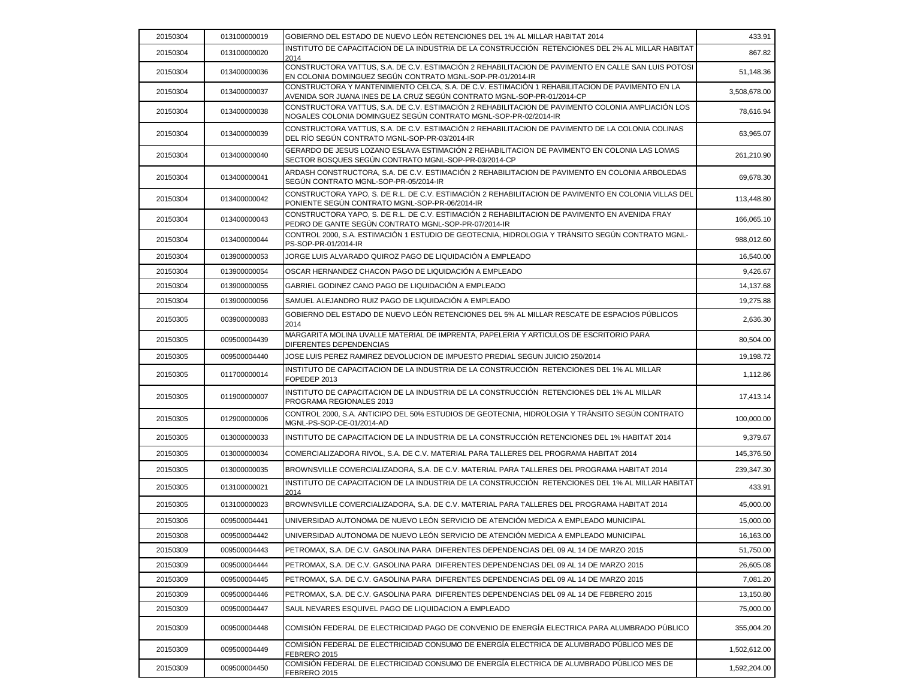| 20150304 | 013100000019 | GOBIERNO DEL ESTADO DE NUEVO LEÓN RETENCIONES DEL 1% AL MILLAR HABITAT 2014                                                                                                | 433.91       |
|----------|--------------|----------------------------------------------------------------------------------------------------------------------------------------------------------------------------|--------------|
| 20150304 | 013100000020 | INSTITUTO DE CAPACITACION DE LA INDUSTRIA DE LA CONSTRUCCIÓN RETENCIONES DEL 2% AL MILLAR HABITAT<br>2014                                                                  | 867.82       |
| 20150304 | 013400000036 | CONSTRUCTORA VATTUS, S.A. DE C.V. ESTIMACIÓN 2 REHABILITACION DE PAVIMENTO EN CALLE SAN LUIS POTOSI<br>EN COLONIA DOMINGUEZ SEGÚN CONTRATO MGNL-SOP-PR-01/2014-IR          | 51,148.36    |
| 20150304 | 013400000037 | CONSTRUCTORA Y MANTENIMIENTO CELCA, S.A. DE C.V. ESTIMACIÓN 1 REHABILITACION DE PAVIMENTO EN LA<br>AVENIDA SOR JUANA INES DE LA CRUZ SEGÚN CONTRATO MGNL-SOP-PR-01/2014-CP | 3,508,678.00 |
| 20150304 | 013400000038 | CONSTRUCTORA VATTUS, S.A. DE C.V. ESTIMACIÓN 2 REHABILITACION DE PAVIMENTO COLONIA AMPLIACIÓN LOS<br>NOGALES COLONIA DOMINGUEZ SEGÚN CONTRATO MGNL-SOP-PR-02/2014-IR       | 78,616.94    |
| 20150304 | 013400000039 | CONSTRUCTORA VATTUS, S.A. DE C.V. ESTIMACIÓN 2 REHABILITACION DE PAVIMENTO DE LA COLONIA COLINAS<br>DEL RÍO SEGÚN CONTRATO MGNL-SOP-PR-03/2014-IR                          | 63,965.07    |
| 20150304 | 013400000040 | GERARDO DE JESUS LOZANO ESLAVA ESTIMACIÓN 2 REHABILITACION DE PAVIMENTO EN COLONIA LAS LOMAS<br>SECTOR BOSQUES SEGÚN CONTRATO MGNL-SOP-PR-03/2014-CP                       | 261,210.90   |
| 20150304 | 013400000041 | ARDASH CONSTRUCTORA, S.A. DE C.V. ESTIMACIÓN 2 REHABILITACION DE PAVIMENTO EN COLONIA ARBOLEDAS<br>SEGUN CONTRATO MGNL-SOP-PR-05/2014-IR                                   | 69,678.30    |
| 20150304 | 013400000042 | CONSTRUCTORA YAPO, S. DE R.L. DE C.V. ESTIMACIÓN 2 REHABILITACION DE PAVIMENTO EN COLONIA VILLAS DEL<br>PONIENTE SEGÚN CONTRATO MGNL-SOP-PR-06/2014-IR                     | 113,448.80   |
| 20150304 | 013400000043 | CONSTRUCTORA YAPO, S. DE R.L. DE C.V. ESTIMACIÓN 2 REHABILITACION DE PAVIMENTO EN AVENIDA FRAY<br>PEDRO DE GANTE SEGÚN CONTRATO MGNL-SOP-PR-07/2014-IR                     | 166,065.10   |
| 20150304 | 013400000044 | CONTROL 2000, S.A. ESTIMACIÓN 1 ESTUDIO DE GEOTECNIA, HIDROLOGIA Y TRÁNSITO SEGÚN CONTRATO MGNL-<br>PS-SOP-PR-01/2014-IR                                                   | 988,012.60   |
| 20150304 | 013900000053 | JORGE LUIS ALVARADO QUIROZ PAGO DE LIQUIDACIÓN A EMPLEADO                                                                                                                  | 16,540.00    |
| 20150304 | 013900000054 | OSCAR HERNANDEZ CHACON PAGO DE LIQUIDACIÓN A EMPLEADO                                                                                                                      | 9,426.67     |
| 20150304 | 013900000055 | GABRIEL GODINEZ CANO PAGO DE LIQUIDACIÓN A EMPLEADO                                                                                                                        | 14,137.68    |
| 20150304 | 013900000056 | SAMUEL ALEJANDRO RUIZ PAGO DE LIQUIDACIÓN A EMPLEADO                                                                                                                       | 19,275.88    |
| 20150305 | 003900000083 | GOBIERNO DEL ESTADO DE NUEVO LEÓN RETENCIONES DEL 5% AL MILLAR RESCATE DE ESPACIOS PÚBLICOS<br>2014                                                                        | 2,636.30     |
| 20150305 | 009500004439 | MARGARITA MOLINA UVALLE MATERIAL DE IMPRENTA, PAPELERIA Y ARTICULOS DE ESCRITORIO PARA<br>DIFERENTES DEPENDENCIAS                                                          | 80,504.00    |
| 20150305 | 009500004440 | JOSE LUIS PEREZ RAMIREZ DEVOLUCION DE IMPUESTO PREDIAL SEGUN JUICIO 250/2014                                                                                               | 19,198.72    |
| 20150305 | 011700000014 | INSTITUTO DE CAPACITACION DE LA INDUSTRIA DE LA CONSTRUCCIÓN RETENCIONES DEL 1% AL MILLAR<br>FOPEDEP 2013                                                                  | 1,112.86     |
| 20150305 | 011900000007 | INSTITUTO DE CAPACITACION DE LA INDUSTRIA DE LA CONSTRUCCIÓN RETENCIONES DEL 1% AL MILLAR<br>PROGRAMA REGIONALES 2013                                                      | 17,413.14    |
| 20150305 | 012900000006 | CONTROL 2000, S.A. ANTICIPO DEL 50% ESTUDIOS DE GEOTECNIA, HIDROLOGIA Y TRÁNSITO SEGÚN CONTRATO<br>MGNL-PS-SOP-CE-01/2014-AD                                               | 100,000.00   |
| 20150305 | 013000000033 | INSTITUTO DE CAPACITACION DE LA INDUSTRIA DE LA CONSTRUCCIÓN RETENCIONES DEL 1% HABITAT 2014                                                                               | 9,379.67     |
| 20150305 | 013000000034 | COMERCIALIZADORA RIVOL, S.A. DE C.V. MATERIAL PARA TALLERES DEL PROGRAMA HABITAT 2014                                                                                      | 145,376.50   |
| 20150305 | 013000000035 | BROWNSVILLE COMERCIALIZADORA, S.A. DE C.V. MATERIAL PARA TALLERES DEL PROGRAMA HABITAT 2014                                                                                | 239,347.30   |
| 20150305 | 013100000021 | INSTITUTO DE CAPACITACION DE LA INDUSTRIA DE LA CONSTRUCCIÓN RETENCIONES DEL 1% AL MILLAR HABITAT<br>2014                                                                  | 433.91       |
| 20150305 | 013100000023 | BROWNSVILLE COMERCIALIZADORA, S.A. DE C.V. MATERIAL PARA TALLERES DEL PROGRAMA HABITAT 2014                                                                                | 45,000.00    |
| 20150306 | 009500004441 | UNIVERSIDAD AUTONOMA DE NUEVO LEÓN SERVICIO DE ATENCIÓN MEDICA A EMPLEADO MUNICIPAL                                                                                        | 15,000.00    |
| 20150308 | 009500004442 | UNIVERSIDAD AUTONOMA DE NUEVO LEÓN SERVICIO DE ATENCIÓN MEDICA A EMPLEADO MUNICIPAL                                                                                        | 16,163.00    |
| 20150309 | 009500004443 | PETROMAX, S.A. DE C.V. GASOLINA PARA DIFERENTES DEPENDENCIAS DEL 09 AL 14 DE MARZO 2015                                                                                    | 51,750.00    |
| 20150309 | 009500004444 | PETROMAX, S.A. DE C.V. GASOLINA PARA DIFERENTES DEPENDENCIAS DEL 09 AL 14 DE MARZO 2015                                                                                    | 26,605.08    |
| 20150309 | 009500004445 | PETROMAX. S.A. DE C.V. GASOLINA PARA_DIFERENTES DEPENDENCIAS DEL 09 AL 14 DE MARZO 2015                                                                                    | 7,081.20     |
| 20150309 | 009500004446 | PETROMAX, S.A. DE C.V. GASOLINA PARA DIFERENTES DEPENDENCIAS DEL 09 AL 14 DE FEBRERO 2015                                                                                  | 13,150.80    |
| 20150309 | 009500004447 | SAUL NEVARES ESQUIVEL PAGO DE LIQUIDACION A EMPLEADO                                                                                                                       | 75,000.00    |
| 20150309 | 009500004448 | COMISIÓN FEDERAL DE ELECTRICIDAD PAGO DE CONVENIO DE ENERGÍA ELECTRICA PARA ALUMBRADO PÚBLICO                                                                              | 355,004.20   |
| 20150309 | 009500004449 | COMISIÓN FEDERAL DE ELECTRICIDAD CONSUMO DE ENERGÍA ELECTRICA DE ALUMBRADO PÚBLICO MES DE<br>FEBRERO 2015                                                                  | 1,502,612.00 |
| 20150309 | 009500004450 | COMISIÓN FEDERAL DE ELECTRICIDAD CONSUMO DE ENERGÍA ELECTRICA DE ALUMBRADO PÚBLICO MES DE<br>FEBRERO 2015                                                                  | 1,592,204.00 |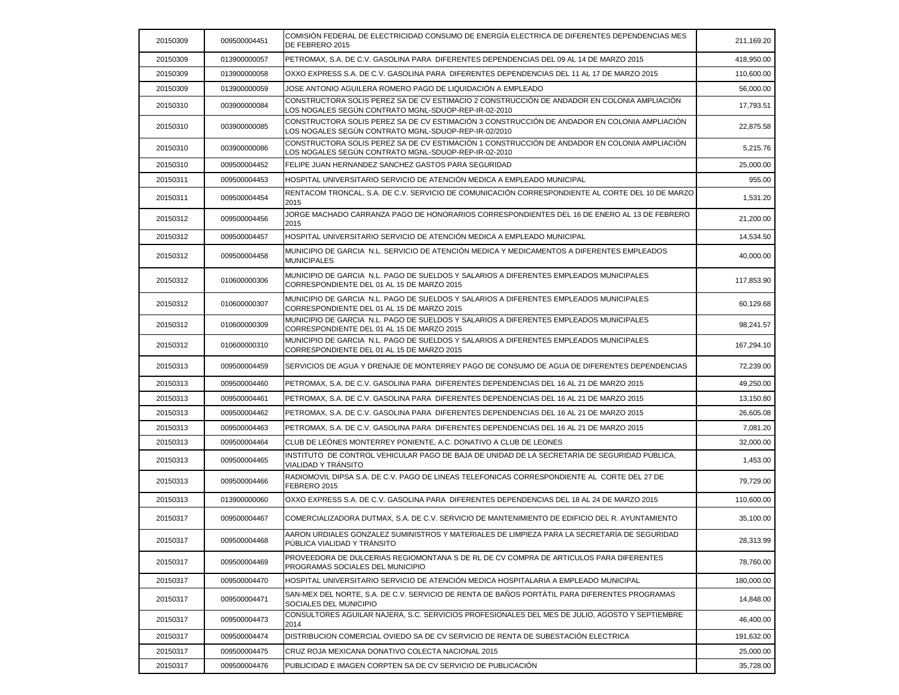| 20150309 | 009500004451 | COMISIÓN FEDERAL DE ELECTRICIDAD CONSUMO DE ENERGÍA ELECTRICA DE DIFERENTES DEPENDENCIAS MES<br>DE FEBRERO 2015                                      | 211,169.20 |
|----------|--------------|------------------------------------------------------------------------------------------------------------------------------------------------------|------------|
| 20150309 | 013900000057 | PETROMAX, S.A. DE C.V. GASOLINA PARA DIFERENTES DEPENDENCIAS DEL 09 AL 14 DE MARZO 2015                                                              | 418,950.00 |
| 20150309 | 013900000058 | OXXO EXPRESS S.A. DE C.V. GASOLINA PARA DIFERENTES DEPENDENCIAS DEL 11 AL 17 DE MARZO 2015                                                           | 110,600.00 |
| 20150309 | 013900000059 | JOSE ANTONIO AGUILERA ROMERO PAGO DE LIQUIDACIÓN A EMPLEADO                                                                                          | 56,000.00  |
| 20150310 | 003900000084 | CONSTRUCTORA SOLIS PEREZ SA DE CV ESTIMACIO 2 CONSTRUCCIÓN DE ANDADOR EN COLONIA AMPLIACIÓN<br>LOS NOGALES SEGÚN CONTRATO MGNL-SDUOP-REP-IR-02-2010  | 17,793.51  |
| 20150310 | 003900000085 | CONSTRUCTORA SOLIS PEREZ SA DE CV ESTIMACIÓN 3 CONSTRUCCIÓN DE ANDADOR EN COLONIA AMPLIACIÓN<br>LOS NOGALES SEGÚN CONTRATO MGNL-SDUOP-REP-IR-02/2010 | 22,875.58  |
| 20150310 | 003900000086 | CONSTRUCTORA SOLIS PEREZ SA DE CV ESTIMACIÓN 1 CONSTRUCCIÓN DE ANDADOR EN COLONIA AMPLIACIÓN<br>LOS NOGALES SEGUN CONTRATO MGNL-SDUOP-REP-IR-02-2010 | 5,215.76   |
| 20150310 | 009500004452 | FELIPE JUAN HERNANDEZ SANCHEZ GASTOS PARA SEGURIDAD                                                                                                  | 25,000.00  |
| 20150311 | 009500004453 | HOSPITAL UNIVERSITARIO SERVICIO DE ATENCIÓN MEDICA A EMPLEADO MUNICIPAL                                                                              | 955.00     |
| 20150311 | 009500004454 | RENTACOM TRONCAL, S.A. DE C.V. SERVICIO DE COMUNICACIÓN CORRESPONDIENTE AL CORTE DEL 10 DE MARZO<br>2015                                             | 1,531.20   |
| 20150312 | 009500004456 | JORGE MACHADO CARRANZA PAGO DE HONORARIOS CORRESPONDIENTES DEL 16 DE ENERO AL 13 DE FEBRERO<br>2015                                                  | 21,200.00  |
| 20150312 | 009500004457 | HOSPITAL UNIVERSITARIO SERVICIO DE ATENCIÓN MEDICA A EMPLEADO MUNICIPAL                                                                              | 14,534.50  |
| 20150312 | 009500004458 | MUNICIPIO DE GARCIA N.L. SERVICIO DE ATENCIÓN MEDICA Y MEDICAMENTOS A DIFERENTES EMPLEADOS<br><b>MUNICIPALES</b>                                     | 40,000.00  |
| 20150312 | 010600000306 | MUNICIPIO DE GARCIA N.L. PAGO DE SUELDOS Y SALARIOS A DIFERENTES EMPLEADOS MUNICIPALES<br>CORRESPONDIENTE DEL 01 AL 15 DE MARZO 2015                 | 117,853.90 |
| 20150312 | 010600000307 | MUNICIPIO DE GARCIA N.L. PAGO DE SUELDOS Y SALARIOS A DIFERENTES EMPLEADOS MUNICIPALES<br>CORRESPONDIENTE DEL 01 AL 15 DE MARZO 2015                 | 60,129.68  |
| 20150312 | 010600000309 | MUNICIPIO DE GARCIA N.L. PAGO DE SUELDOS Y SALARIOS A DIFERENTES EMPLEADOS MUNICIPALES<br>CORRESPONDIENTE DEL 01 AL 15 DE MARZO 2015                 | 98,241.57  |
| 20150312 | 010600000310 | MUNICIPIO DE GARCIA N.L. PAGO DE SUELDOS Y SALARIOS A DIFERENTES EMPLEADOS MUNICIPALES<br>CORRESPONDIENTE DEL 01 AL 15 DE MARZO 2015                 | 167,294.10 |
| 20150313 | 009500004459 | SERVICIOS DE AGUA Y DRENAJE DE MONTERREY PAGO DE CONSUMO DE AGUA DE DIFERENTES DEPENDENCIAS                                                          | 72,239.00  |
| 20150313 | 009500004460 | PETROMAX, S.A. DE C.V. GASOLINA PARA DIFERENTES DEPENDENCIAS DEL 16 AL 21 DE MARZO 2015                                                              | 49,250.00  |
| 20150313 | 009500004461 | PETROMAX, S.A. DE C.V. GASOLINA PARA DIFERENTES DEPENDENCIAS DEL 16 AL 21 DE MARZO 2015                                                              | 13,150.80  |
| 20150313 | 009500004462 | PETROMAX, S.A. DE C.V. GASOLINA PARA DIFERENTES DEPENDENCIAS DEL 16 AL 21 DE MARZO 2015                                                              | 26,605.08  |
| 20150313 | 009500004463 | PETROMAX, S.A. DE C.V. GASOLINA PARA DIFERENTES DEPENDENCIAS DEL 16 AL 21 DE MARZO 2015                                                              | 7,081.20   |
| 20150313 | 009500004464 | CLUB DE LEONES MONTERREY PONIENTE, A.C. DONATIVO A CLUB DE LEONES                                                                                    | 32,000.00  |
| 20150313 | 009500004465 | INSTITUTO DE CONTROL VEHICULAR PAGO DE BAJA DE UNIDAD DE LA SECRETARÍA DE SEGURIDAD PÚBLICA.<br>VIALIDAD Y TRÁNSITO                                  | 1,453.00   |
| 20150313 | 009500004466 | RADIOMOVIL DIPSA S.A. DE C.V. PAGO DE LINEAS TELEFONICAS CORRESPONDIENTE AL CORTE DEL 27 DE<br>FEBRERO 2015                                          | 79,729.00  |
| 20150313 | 013900000060 | OXXO EXPRESS S.A. DE C.V. GASOLINA PARA DIFERENTES DEPENDENCIAS DEL 18 AL 24 DE MARZO 2015                                                           | 110,600.00 |
| 20150317 | 009500004467 | ICOMERCIALIZADORA DUTMAX. S.A. DE C.V. SERVICIO DE MANTENIMIENTO DE EDIFICIO DEL R. AYUNTAMIENTO                                                     | 35.100.00  |
| 20150317 | 009500004468 | AARON URDIALES GONZALEZ SUMINISTROS Y MATERIALES DE LIMPIEZA PARA LA SECRETARÍA DE SEGURIDAD<br>PÚBLICA VIALIDAD Y TRÁNSITO                          | 28,313.99  |
| 20150317 | 009500004469 | PROVEEDORA DE DULCERIAS REGIOMONTANA S DE RL DE CV COMPRA DE ARTICULOS PARA DIFERENTES<br>PROGRAMAS SOCIALES DEL MUNICIPIO                           | 78,760.00  |
| 20150317 | 009500004470 | HOSPITAL UNIVERSITARIO SERVICIO DE ATENCIÓN MEDICA HOSPITALARIA A EMPLEADO MUNICIPAL                                                                 | 180,000.00 |
| 20150317 | 009500004471 | SAN-MEX DEL NORTE, S.A. DE C.V. SERVICIO DE RENTA DE BAÑOS PORTATIL PARA DIFERENTES PROGRAMAS<br>SOCIALES DEL MUNICIPIO                              | 14,848.00  |
| 20150317 | 009500004473 | CONSULTORES AGUILAR NAJERA, S.C. SERVICIOS PROFESIONALES DEL MES DE JULIO, AGOSTO Y SEPTIEMBRE<br>2014                                               | 46,400.00  |
| 20150317 | 009500004474 | IDISTRIBUCION COMERCIAL OVIEDO SA DE CV SERVICIO DE RENTA DE SUBESTACIÓN ELECTRICA                                                                   | 191,632.00 |
| 20150317 | 009500004475 | CRUZ ROJA MEXICANA DONATIVO COLECTA NACIONAL 2015                                                                                                    | 25,000.00  |
| 20150317 | 009500004476 | PUBLICIDAD E IMAGEN CORPTEN SA DE CV SERVICIO DE PUBLICACION                                                                                         | 35,728.00  |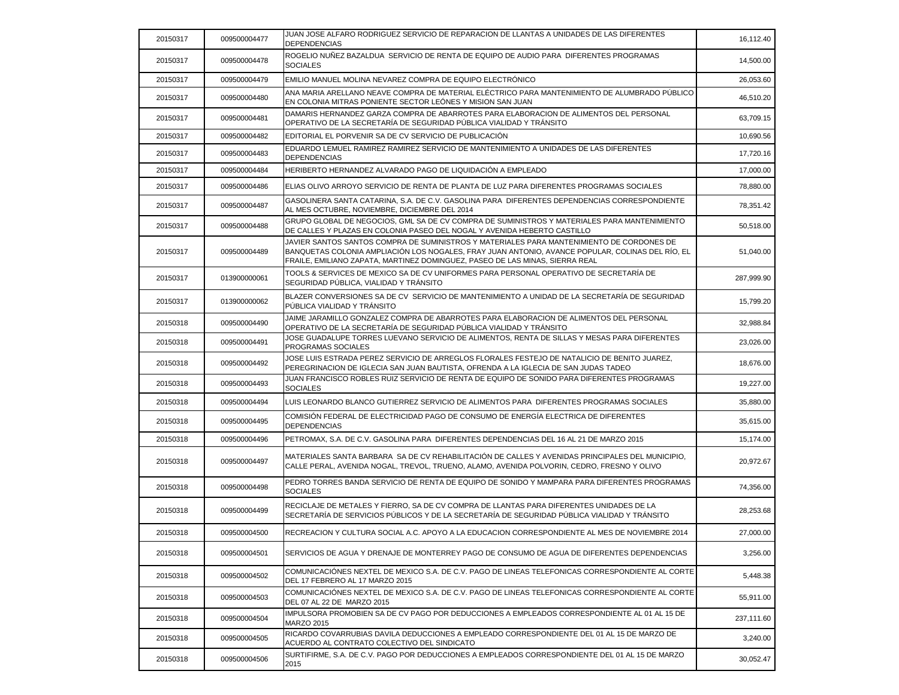| 20150317 | 009500004477 | JUAN JOSE ALFARO RODRIGUEZ SERVICIO DE REPARACION DE LLANTAS A UNIDADES DE LAS DIFERENTES<br><b>DEPENDENCIAS</b>                                                                                                                                                              | 16,112.40  |
|----------|--------------|-------------------------------------------------------------------------------------------------------------------------------------------------------------------------------------------------------------------------------------------------------------------------------|------------|
| 20150317 | 009500004478 | ROGELIO NUÑEZ BAZALDUA SERVICIO DE RENTA DE EQUIPO DE AUDIO PARA DIFERENTES PROGRAMAS<br><b>SOCIALES</b>                                                                                                                                                                      | 14,500.00  |
| 20150317 | 009500004479 | EMILIO MANUEL MOLINA NEVAREZ COMPRA DE EQUIPO ELECTRÓNICO                                                                                                                                                                                                                     | 26,053.60  |
| 20150317 | 009500004480 | ANA MARIA ARELLANO NEAVE COMPRA DE MATERIAL ELÉCTRICO PARA MANTENIMIENTO DE ALUMBRADO PÚBLICO<br>EN COLONIA MITRAS PONIENTE SECTOR LEÓNES Y MISION SAN JUAN                                                                                                                   | 46,510.20  |
| 20150317 | 009500004481 | DAMARIS HERNANDEZ GARZA COMPRA DE ABARROTES PARA ELABORACION DE ALIMENTOS DEL PERSONAL<br>OPERATIVO DE LA SECRETARÍA DE SEGURIDAD PÚBLICA VIALIDAD Y TRÁNSITO                                                                                                                 | 63,709.15  |
| 20150317 | 009500004482 | EDITORIAL EL PORVENIR SA DE CV SERVICIO DE PUBLICACIÓN                                                                                                                                                                                                                        | 10.690.56  |
| 20150317 | 009500004483 | EDUARDO LEMUEL RAMIREZ RAMIREZ SERVICIO DE MANTENIMIENTO A UNIDADES DE LAS DIFERENTES<br><b>DEPENDENCIAS</b>                                                                                                                                                                  | 17,720.16  |
| 20150317 | 009500004484 | HERIBERTO HERNANDEZ ALVARADO PAGO DE LIQUIDACIÓN A EMPLEADO                                                                                                                                                                                                                   | 17,000.00  |
| 20150317 | 009500004486 | ELIAS OLIVO ARROYO SERVICIO DE RENTA DE PLANTA DE LUZ PARA DIFERENTES PROGRAMAS SOCIALES                                                                                                                                                                                      | 78,880.00  |
| 20150317 | 009500004487 | GASOLINERA SANTA CATARINA, S.A. DE C.V. GASOLINA PARA DIFERENTES DEPENDENCIAS CORRESPONDIENTE<br>AL MES OCTUBRE, NOVIEMBRE, DICIEMBRE DEL 2014                                                                                                                                | 78,351.42  |
| 20150317 | 009500004488 | GRUPO GLOBAL DE NEGOCIOS, GML SA DE CV COMPRA DE SUMINISTROS Y MATERIALES PARA MANTENIMIENTO<br>DE CALLES Y PLAZAS EN COLONIA PASEO DEL NOGAL Y AVENIDA HEBERTO CASTILLO                                                                                                      | 50,518.00  |
| 20150317 | 009500004489 | JAVIER SANTOS SANTOS COMPRA DE SUMINISTROS Y MATERIALES PARA MANTENIMIENTO DE CORDONES DE<br>BANQUETAS COLONIA AMPLIACIÓN LOS NOGALES, FRAY JUAN ANTONIO, AVANCE POPULAR, COLINAS DEL RÍO, EL<br>FRAILE, EMILIANO ZAPATA, MARTINEZ DOMINGUEZ, PASEO DE LAS MINAS, SIERRA REAL | 51,040.00  |
| 20150317 | 013900000061 | TOOLS & SERVICES DE MEXICO SA DE CV UNIFORMES PARA PERSONAL OPERATIVO DE SECRETARÍA DE<br>SEGURIDAD PÚBLICA, VIALIDAD Y TRÁNSITO                                                                                                                                              | 287,999.90 |
| 20150317 | 013900000062 | BLAZER CONVERSIONES SA DE CV SERVICIO DE MANTENIMIENTO A UNIDAD DE LA SECRETARÍA DE SEGURIDAD<br>PÚBLICA VIALIDAD Y TRÁNSITO                                                                                                                                                  | 15,799.20  |
| 20150318 | 009500004490 | JAIME JARAMILLO GONZALEZ COMPRA DE ABARROTES PARA ELABORACION DE ALIMENTOS DEL PERSONAL<br>OPERATIVO DE LA SECRETARÍA DE SEGURIDAD PÚBLICA VIALIDAD Y TRÁNSITO                                                                                                                | 32,988.84  |
| 20150318 | 009500004491 | JOSE GUADALUPE TORRES LUEVANO SERVICIO DE ALIMENTOS, RENTA DE SILLAS Y MESAS PARA DIFERENTES<br>PROGRAMAS SOCIALES                                                                                                                                                            | 23,026.00  |
| 20150318 | 009500004492 | JOSE LUIS ESTRADA PEREZ SERVICIO DE ARREGLOS FLORALES FESTEJO DE NATALICIO DE BENITO JUAREZ.<br>PEREGRINACION DE IGLECIA SAN JUAN BAUTISTA, OFRENDA A LA IGLECIA DE SAN JUDAS TADEO                                                                                           | 18,676.00  |
| 20150318 | 009500004493 | JUAN FRANCISCO ROBLES RUIZ SERVICIO DE RENTA DE EQUIPO DE SONIDO PARA DIFERENTES PROGRAMAS<br><b>SOCIALES</b>                                                                                                                                                                 | 19,227.00  |
| 20150318 | 009500004494 | LUIS LEONARDO BLANCO GUTIERREZ SERVICIO DE ALIMENTOS PARA DIFERENTES PROGRAMAS SOCIALES                                                                                                                                                                                       | 35,880.00  |
| 20150318 | 009500004495 | COMISIÓN FEDERAL DE ELECTRICIDAD PAGO DE CONSUMO DE ENERGÍA ELECTRICA DE DIFERENTES<br><b>DEPENDENCIAS</b>                                                                                                                                                                    | 35,615.00  |
| 20150318 | 009500004496 | PETROMAX, S.A. DE C.V. GASOLINA PARA DIFERENTES DEPENDENCIAS DEL 16 AL 21 DE MARZO 2015                                                                                                                                                                                       | 15,174.00  |
| 20150318 | 009500004497 | MATERIALES SANTA BARBARA SA DE CV REHABILITACIÓN DE CALLES Y AVENIDAS PRINCIPALES DEL MUNICIPIO,<br>CALLE PERAL, AVENIDA NOGAL, TREVOL, TRUENO, ALAMO, AVENIDA POLVORIN, CEDRO, FRESNO Y OLIVO                                                                                | 20,972.67  |
| 20150318 | 009500004498 | PEDRO TORRES BANDA SERVICIO DE RENTA DE EQUIPO DE SONIDO Y MAMPARA PARA DIFERENTES PROGRAMAS<br><b>SOCIALES</b>                                                                                                                                                               | 74,356.00  |
| 20150318 | 009500004499 | RECICLAJE DE METALES Y FIERRO, SA DE CV COMPRA DE LLANTAS PARA DIFERENTES UNIDADES DE LA<br>SECRETARÍA DE SERVICIOS PÚBLICOS Y DE LA SECRETARÍA DE SEGURIDAD PÚBLICA VIALIDAD Y TRÁNSITO                                                                                      | 28,253.68  |
| 20150318 | 009500004500 | RECREACION Y CULTURA SOCIAL A.C. APOYO A LA EDUCACION CORRESPONDIENTE AL MES DE NOVIEMBRE 2014                                                                                                                                                                                | 27,000.00  |
| 20150318 | 009500004501 | SERVICIOS DE AGUA Y DRENAJE DE MONTERREY PAGO DE CONSUMO DE AGUA DE DIFERENTES DEPENDENCIAS                                                                                                                                                                                   | 3,256.00   |
| 20150318 | 009500004502 | COMUNICACIÓNES NEXTEL DE MEXICO S.A. DE C.V. PAGO DE LINEAS TELEFONICAS CORRESPONDIENTE AL CORTE<br>DEL 17 FEBRERO AL 17 MARZO 2015                                                                                                                                           | 5,448.38   |
| 20150318 | 009500004503 | COMUNICACIÓNES NEXTEL DE MEXICO S.A. DE C.V. PAGO DE LINEAS TELEFONICAS CORRESPONDIENTE AL CORTE<br>DEL 07 AL 22 DE MARZO 2015                                                                                                                                                | 55,911.00  |
| 20150318 | 009500004504 | IMPULSORA PROMOBIEN SA DE CV PAGO POR DEDUCCIONES A EMPLEADOS CORRESPONDIENTE AL 01 AL 15 DE<br><b>MARZO 2015</b>                                                                                                                                                             | 237,111.60 |
| 20150318 | 009500004505 | RICARDO COVARRUBIAS DAVILA DEDUCCIONES A EMPLEADO CORRESPONDIENTE DEL 01 AL 15 DE MARZO DE<br>ACUERDO AL CONTRATO COLECTIVO DEL SINDICATO                                                                                                                                     | 3,240.00   |
| 20150318 | 009500004506 | SURTIFIRME, S.A. DE C.V. PAGO POR DEDUCCIONES A EMPLEADOS CORRESPONDIENTE DEL 01 AL 15 DE MARZO<br>2015                                                                                                                                                                       | 30,052.47  |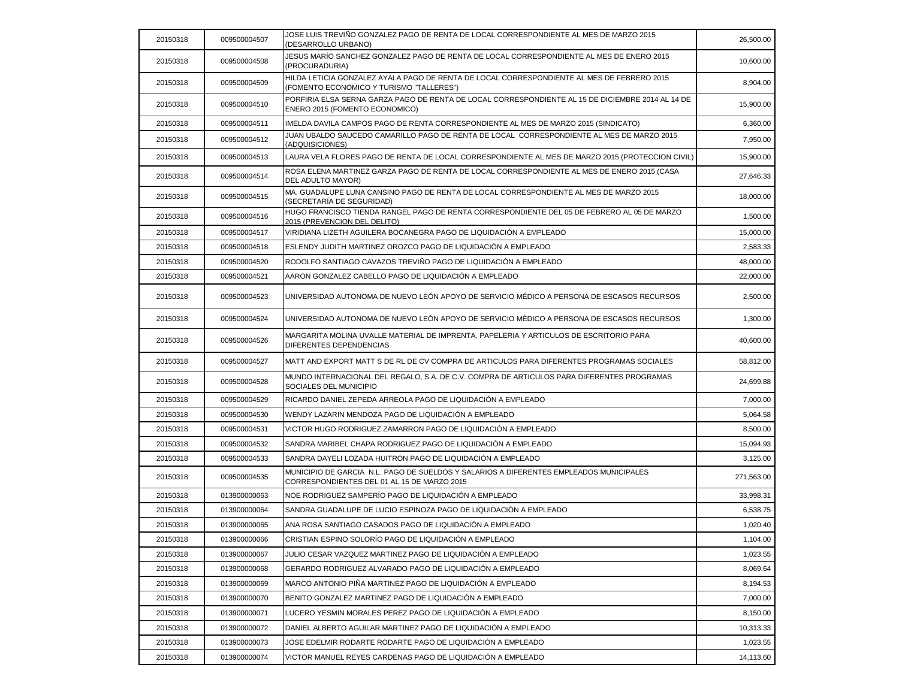| 20150318 | 009500004507 | JOSE LUIS TREVIÑO GONZALEZ PAGO DE RENTA DE LOCAL CORRESPONDIENTE AL MES DE MARZO 2015<br>(DESARROLLO URBANO)                          | 26,500.00  |
|----------|--------------|----------------------------------------------------------------------------------------------------------------------------------------|------------|
| 20150318 | 009500004508 | JESUS MARÍO SANCHEZ GONZALEZ PAGO DE RENTA DE LOCAL CORRESPONDIENTE AL MES DE ENERO 2015<br>(PROCURADURIA)                             | 10,600.00  |
| 20150318 | 009500004509 | HILDA LETICIA GONZALEZ AYALA PAGO DE RENTA DE LOCAL CORRESPONDIENTE AL MES DE FEBRERO 2015<br>(FOMENTO ECONOMICO Y TURISMO "TALLERES") | 8,904.00   |
| 20150318 | 009500004510 | PORFIRIA ELSA SERNA GARZA PAGO DE RENTA DE LOCAL CORRESPONDIENTE AL 15 DE DICIEMBRE 2014 AL 14 DE<br>ENERO 2015 (FOMENTO ECONOMICO)    | 15,900.00  |
| 20150318 | 009500004511 | IMELDA DAVILA CAMPOS PAGO DE RENTA CORRESPONDIENTE AL MES DE MARZO 2015 (SINDICATO)                                                    | 6,360.00   |
| 20150318 | 009500004512 | JUAN UBALDO SAUCEDO CAMARILLO PAGO DE RENTA DE LOCAL CORRESPONDIENTE AL MES DE MARZO 2015<br>(ADQUISICIONES)                           | 7,950.00   |
| 20150318 | 009500004513 | LAURA VELA FLORES PAGO DE RENTA DE LOCAL CORRESPONDIENTE AL MES DE MARZO 2015 (PROTECCION CIVIL)                                       | 15,900.00  |
| 20150318 | 009500004514 | ROSA ELENA MARTINEZ GARZA PAGO DE RENTA DE LOCAL CORRESPONDIENTE AL MES DE ENERO 2015 (CASA<br>DEL ADULTO MAYOR)                       | 27,646.33  |
| 20150318 | 009500004515 | MA. GUADALUPE LUNA CANSINO PAGO DE RENTA DE LOCAL CORRESPONDIENTE AL MES DE MARZO 2015<br>(SECRETARIA DE SEGURIDAD)                    | 18,000.00  |
| 20150318 | 009500004516 | HUGO FRANCISCO TIENDA RANGEL PAGO DE RENTA CORRESPONDIENTE DEL 05 DE FEBRERO AL 05 DE MARZO<br>2015 (PREVENCION DEL DELITO)            | 1,500.00   |
| 20150318 | 009500004517 | VIRIDIANA LIZETH AGUILERA BOCANEGRA PAGO DE LIQUIDACIÓN A EMPLEADO                                                                     | 15,000.00  |
| 20150318 | 009500004518 | ESLENDY JUDITH MARTINEZ OROZCO PAGO DE LIQUIDACIÓN A EMPLEADO                                                                          | 2,583.33   |
| 20150318 | 009500004520 | RODOLFO SANTIAGO CAVAZOS TREVIÑO PAGO DE LIQUIDACIÓN A EMPLEADO                                                                        | 48,000.00  |
| 20150318 | 009500004521 | AARON GONZALEZ CABELLO PAGO DE LIQUIDACIÓN A EMPLEADO                                                                                  | 22,000.00  |
| 20150318 | 009500004523 | UNIVERSIDAD AUTONOMA DE NUEVO LEÓN APOYO DE SERVICIO MÉDICO A PERSONA DE ESCASOS RECURSOS                                              | 2,500.00   |
| 20150318 | 009500004524 | UNIVERSIDAD AUTONOMA DE NUEVO LEÓN APOYO DE SERVICIO MÉDICO A PERSONA DE ESCASOS RECURSOS                                              | 1,300.00   |
| 20150318 | 009500004526 | MARGARITA MOLINA UVALLE MATERIAL DE IMPRENTA, PAPELERIA Y ARTICULOS DE ESCRITORIO PARA<br>DIFERENTES DEPENDENCIAS                      | 40,600.00  |
| 20150318 | 009500004527 | MATT AND EXPORT MATT S DE RL DE CV COMPRA DE ARTICULOS PARA DIFERENTES PROGRAMAS SOCIALES                                              | 58,812.00  |
| 20150318 | 009500004528 | MUNDO INTERNACIONAL DEL REGALO, S.A. DE C.V. COMPRA DE ARTICULOS PARA DIFERENTES PROGRAMAS<br>SOCIALES DEL MUNICIPIO                   | 24,699.88  |
| 20150318 | 009500004529 | RICARDO DANIEL ZEPEDA ARREOLA PAGO DE LIQUIDACIÓN A EMPLEADO                                                                           | 7,000.00   |
| 20150318 | 009500004530 | WENDY LAZARIN MENDOZA PAGO DE LIQUIDACIÓN A EMPLEADO                                                                                   | 5,064.58   |
| 20150318 | 009500004531 | VICTOR HUGO RODRIGUEZ ZAMARRON PAGO DE LIQUIDACIÓN A EMPLEADO                                                                          | 8,500.00   |
| 20150318 | 009500004532 | SANDRA MARIBEL CHAPA RODRIGUEZ PAGO DE LIQUIDACIÓN A EMPLEADO                                                                          | 15,094.93  |
| 20150318 | 009500004533 | SANDRA DAYELI LOZADA HUITRON PAGO DE LIQUIDACIÓN A EMPLEADO                                                                            | 3,125.00   |
| 20150318 | 009500004535 | MUNICIPIO DE GARCIA N.L. PAGO DE SUELDOS Y SALARIOS A DIFERENTES EMPLEADOS MUNICIPALES<br>CORRESPONDIENTES DEL 01 AL 15 DE MARZO 2015  | 271,563.00 |
| 20150318 | 013900000063 | NOE RODRIGUEZ SAMPERIO PAGO DE LIQUIDACIÓN A EMPLEADO                                                                                  | 33,998.31  |
| 20150318 | 013900000064 | SANDRA GUADALUPE DE LUCIO ESPINOZA PAGO DE LIQUIDACIÓN A EMPLEADO                                                                      | 6,538.75   |
| 20150318 | 013900000065 | ANA ROSA SANTIAGO CASADOS PAGO DE LIQUIDACIÓN A EMPLEADO                                                                               | 1,020.40   |
| 20150318 | 013900000066 | CRISTIAN ESPINO SOLORÍO PAGO DE LIQUIDACIÓN A EMPLEADO                                                                                 | 1,104.00   |
| 20150318 | 013900000067 | JULIO CESAR VAZQUEZ MARTINEZ PAGO DE LIQUIDACIÓN A EMPLEADO                                                                            | 1,023.55   |
| 20150318 | 013900000068 | GERARDO RODRIGUEZ ALVARADO PAGO DE LIQUIDACIÓN A EMPLEADO                                                                              | 8,069.64   |
| 20150318 | 013900000069 | MARCO ANTONIO PIÑA MARTINEZ PAGO DE LIQUIDACIÓN A EMPLEADO                                                                             | 8,194.53   |
| 20150318 | 013900000070 | BENITO GONZALEZ MARTINEZ PAGO DE LIQUIDACIÓN A EMPLEADO                                                                                | 7,000.00   |
| 20150318 | 013900000071 | LUCERO YESMIN MORALES PEREZ PAGO DE LIQUIDACIÓN A EMPLEADO                                                                             | 8,150.00   |
| 20150318 | 013900000072 | DANIEL ALBERTO AGUILAR MARTINEZ PAGO DE LIQUIDACIÓN A EMPLEADO                                                                         | 10,313.33  |
| 20150318 | 013900000073 | JOSE EDELMIR RODARTE RODARTE PAGO DE LIQUIDACIÓN A EMPLEADO                                                                            | 1,023.55   |
| 20150318 | 013900000074 | VICTOR MANUEL REYES CARDENAS PAGO DE LIQUIDACIÓN A EMPLEADO                                                                            | 14,113.60  |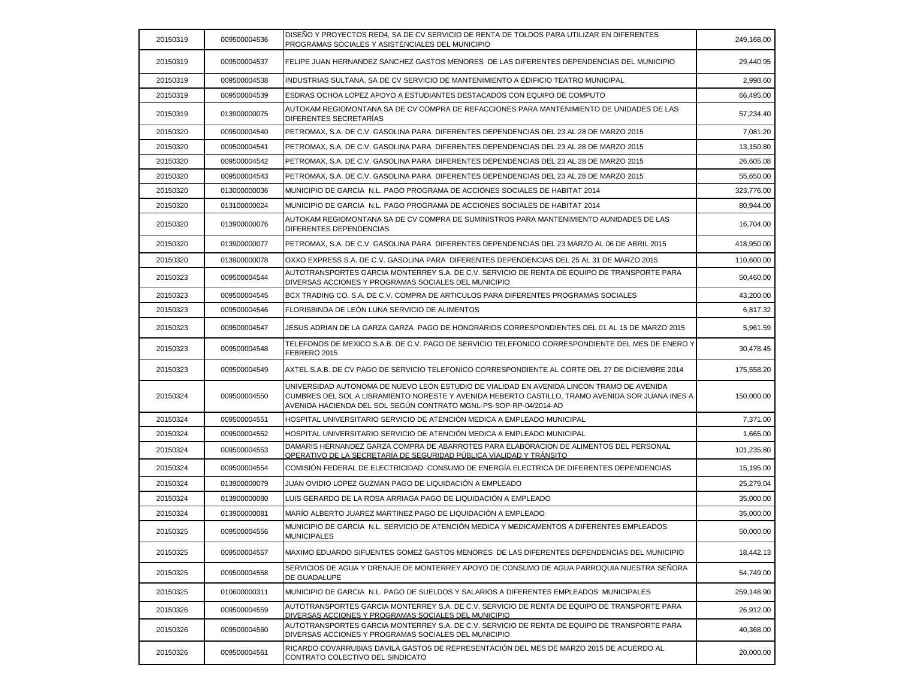| 20150319 | 009500004536 | DISEÑO Y PROYECTOS RED4, SA DE CV SERVICIO DE RENTA DE TOLDOS PARA UTILIZAR EN DIFERENTES<br>PROGRAMAS SOCIALES Y ASISTENCIALES DEL MUNICIPIO                                                                                                                      | 249,168.00 |
|----------|--------------|--------------------------------------------------------------------------------------------------------------------------------------------------------------------------------------------------------------------------------------------------------------------|------------|
| 20150319 | 009500004537 | FELIPE JUAN HERNANDEZ SANCHEZ GASTOS MENORES DE LAS DIFERENTES DEPENDENCIAS DEL MUNICIPIO                                                                                                                                                                          | 29,440.95  |
| 20150319 | 009500004538 | INDUSTRIAS SULTANA. SA DE CV SERVICIO DE MANTENIMIENTO A EDIFICIO TEATRO MUNICIPAL                                                                                                                                                                                 | 2,998.60   |
| 20150319 | 009500004539 | ESDRAS OCHOA LOPEZ APOYO A ESTUDIANTES DESTACADOS CON EQUIPO DE COMPUTO                                                                                                                                                                                            | 66,495.00  |
| 20150319 | 013900000075 | AUTOKAM REGIOMONTANA SA DE CV COMPRA DE REFACCIONES PARA MANTENIMIENTO DE UNIDADES DE LAS<br>DIFERENTES SECRETARÍAS                                                                                                                                                | 57,234.40  |
| 20150320 | 009500004540 | PETROMAX, S.A. DE C.V. GASOLINA PARA DIFERENTES DEPENDENCIAS DEL 23 AL 28 DE MARZO 2015                                                                                                                                                                            | 7,081.20   |
| 20150320 | 009500004541 | PETROMAX, S.A. DE C.V. GASOLINA PARA DIFERENTES DEPENDENCIAS DEL 23 AL 28 DE MARZO 2015                                                                                                                                                                            | 13,150.80  |
| 20150320 | 009500004542 | PETROMAX, S.A. DE C.V. GASOLINA PARA DIFERENTES DEPENDENCIAS DEL 23 AL 28 DE MARZO 2015                                                                                                                                                                            | 26,605.08  |
| 20150320 | 009500004543 | PETROMAX, S.A. DE C.V. GASOLINA PARA DIFERENTES DEPENDENCIAS DEL 23 AL 28 DE MARZO 2015                                                                                                                                                                            | 55,650.00  |
| 20150320 | 013000000036 | MUNICIPIO DE GARCIA N.L. PAGO PROGRAMA DE ACCIONES SOCIALES DE HABITAT 2014                                                                                                                                                                                        | 323,776.00 |
| 20150320 | 013100000024 | MUNICIPIO DE GARCIA N.L. PAGO PROGRAMA DE ACCIONES SOCIALES DE HABITAT 2014                                                                                                                                                                                        | 80,944.00  |
| 20150320 | 013900000076 | AUTOKAM REGIOMONTANA SA DE CV COMPRA DE SUMINISTROS PARA MANTENIMIENTO AUNIDADES DE LAS<br>DIFERENTES DEPENDENCIAS                                                                                                                                                 | 16,704.00  |
| 20150320 | 013900000077 | PETROMAX, S.A. DE C.V. GASOLINA PARA DIFERENTES DEPENDENCIAS DEL 23 MARZO AL 06 DE ABRIL 2015                                                                                                                                                                      | 418,950.00 |
| 20150320 | 013900000078 | OXXO EXPRESS S.A. DE C.V. GASOLINA PARA DIFERENTES DEPENDENCIAS DEL 25 AL 31 DE MARZO 2015                                                                                                                                                                         | 110,600.00 |
| 20150323 | 009500004544 | AUTOTRANSPORTES GARCIA MONTERREY S.A. DE C.V. SERVICIO DE RENTA DE EQUIPO DE TRANSPORTE PARA<br>DIVERSAS ACCIONES Y PROGRAMAS SOCIALES DEL MUNICIPIO                                                                                                               | 50,460.00  |
| 20150323 | 009500004545 | BCX TRADING CO. S.A. DE C.V. COMPRA DE ARTICULOS PARA DIFERENTES PROGRAMAS SOCIALES                                                                                                                                                                                | 43,200.00  |
| 20150323 | 009500004546 | FLORISBINDA DE LEÓN LUNA SERVICIO DE ALIMENTOS                                                                                                                                                                                                                     | 6,817.32   |
| 20150323 | 009500004547 | JESUS ADRIAN DE LA GARZA GARZA PAGO DE HONORARIOS CORRESPONDIENTES DEL 01 AL 15 DE MARZO 2015                                                                                                                                                                      | 5,961.59   |
| 20150323 | 009500004548 | TELEFONOS DE MEXICO S.A.B. DE C.V. PAGO DE SERVICIO TELEFONICO CORRESPONDIENTE DEL MES DE ENERO Y<br>FEBRERO 2015                                                                                                                                                  | 30,478.45  |
| 20150323 | 009500004549 | AXTEL S.A.B. DE CV PAGO DE SERVICIO TELEFONICO CORRESPONDIENTE AL CORTE DEL 27 DE DICIEMBRE 2014                                                                                                                                                                   | 175,558.20 |
| 20150324 | 009500004550 | UNIVERSIDAD AUTONOMA DE NUEVO LEÓN ESTUDIO DE VIALIDAD EN AVENIDA LINCON TRAMO DE AVENIDA<br>CUMBRES DEL SOL A LIBRAMIENTO NORESTE Y AVENIDA HEBERTO CASTILLO, TRAMO AVENIDA SOR JUANA INES A<br>AVENIDA HACIENDA DEL SOL SEGÚN CONTRATO MGNL-PS-SOP-RP-04/2014-AD | 150,000.00 |
| 20150324 | 009500004551 | HOSPITAL UNIVERSITARIO SERVICIO DE ATENCIÓN MEDICA A EMPLEADO MUNICIPAL                                                                                                                                                                                            | 7,371.00   |
| 20150324 | 009500004552 | HOSPITAL UNIVERSITARIO SERVICIO DE ATENCIÓN MEDICA A EMPLEADO MUNICIPAL                                                                                                                                                                                            | 1,665.00   |
| 20150324 | 009500004553 | DAMARIS HERNANDEZ GARZA COMPRA DE ABARROTES PARA ELABORACION DE ALIMENTOS DEL PERSONAL<br>OPERATIVO DE LA SECRETARÍA DE SEGURIDAD PÚBLICA VIALIDAD Y TRÁNSITO                                                                                                      | 101,235.80 |
| 20150324 | 009500004554 | COMISIÓN FEDERAL DE ELECTRICIDAD CONSUMO DE ENERGÍA ELECTRICA DE DIFERENTES DEPENDENCIAS                                                                                                                                                                           | 15,195.00  |
| 20150324 | 013900000079 | JUAN OVIDIO LOPEZ GUZMAN PAGO DE LIQUIDACIÓN A EMPLEADO                                                                                                                                                                                                            | 25,279.04  |
| 20150324 | 013900000080 | LUIS GERARDO DE LA ROSA ARRIAGA PAGO DE LIQUIDACIÓN A EMPLEADO                                                                                                                                                                                                     | 35,000.00  |
| 20150324 | 013900000081 | MARÍO ALBERTO JUAREZ MARTINEZ PAGO DE LIQUIDACIÓN A EMPLEADO                                                                                                                                                                                                       | 35,000.00  |
| 20150325 | 009500004556 | MUNICIPIO DE GARCIA N.L. SERVICIO DE ATENCIÓN MEDICA Y MEDICAMENTOS A DIFERENTES EMPLEADOS<br><b>MUNICIPALES</b>                                                                                                                                                   | 50,000.00  |
| 20150325 | 009500004557 | MAXIMO EDUARDO SIFUENTES GOMEZ GASTOS MENORES DE LAS DIFERENTES DEPENDENCIAS DEL MUNICIPIO                                                                                                                                                                         | 18,442.13  |
| 20150325 | 009500004558 | SERVICIOS DE AGUA Y DRENAJE DE MONTERREY APOYO DE CONSUMO DE AGUA PARROQUIA NUESTRA SEÑORA<br>DE GUADALUPE                                                                                                                                                         | 54,749.00  |
| 20150325 | 010600000311 | MUNICIPIO DE GARCIA N.L. PAGO DE SUELDOS Y SALARIOS A DIFERENTES EMPLEADOS MUNICIPALES                                                                                                                                                                             | 259,148.90 |
| 20150326 | 009500004559 | AUTOTRANSPORTES GARCIA MONTERREY S.A. DE C.V. SERVICIO DE RENTA DE EQUIPO DE TRANSPORTE PARA<br>DIVERSAS ACCIONES Y PROGRAMAS SOCIALES DEL MUNICIPIO                                                                                                               | 26,912.00  |
| 20150326 | 009500004560 | AUTOTRANSPORTES GARCIA MONTERREY S.A. DE C.V. SERVICIO DE RENTA DE EQUIPO DE TRANSPORTE PARA<br>DIVERSAS ACCIONES Y PROGRAMAS SOCIALES DEL MUNICIPIO                                                                                                               | 40,368.00  |
| 20150326 | 009500004561 | RICARDO COVARRUBIAS DAVILA GASTOS DE REPRESENTACIÓN DEL MES DE MARZO 2015 DE ACUERDO AL<br>CONTRATO COLECTIVO DEL SINDICATO                                                                                                                                        | 20,000.00  |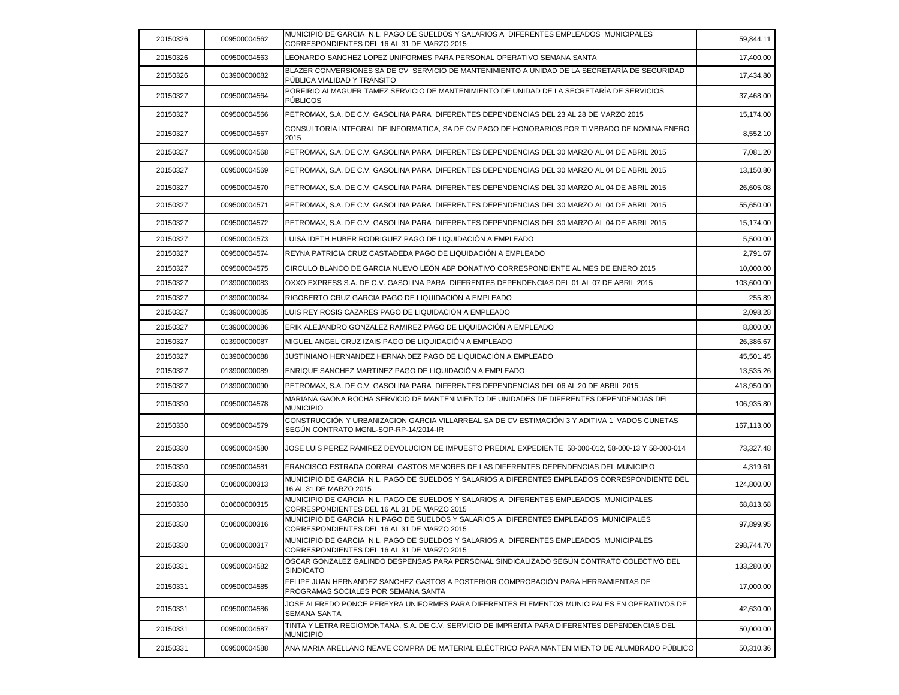| 20150326 | 009500004562 | MUNICIPIO DE GARCIA N.L. PAGO DE SUELDOS Y SALARIOS A DIFERENTES EMPLEADOS MUNICIPALES<br>CORRESPONDIENTES DEL 16 AL 31 DE MARZO 2015  | 59,844.11  |
|----------|--------------|----------------------------------------------------------------------------------------------------------------------------------------|------------|
| 20150326 | 009500004563 | LEONARDO SANCHEZ LOPEZ UNIFORMES PARA PERSONAL OPERATIVO SEMANA SANTA                                                                  | 17,400.00  |
| 20150326 | 013900000082 | BLAZER CONVERSIONES SA DE CV SERVICIO DE MANTENIMIENTO A UNIDAD DE LA SECRETARÍA DE SEGURIDAD<br>PÚBLICA VIALIDAD Y TRÁNSITO           | 17,434.80  |
| 20150327 | 009500004564 | PORFIRIO ALMAGUER TAMEZ SERVICIO DE MANTENIMIENTO DE UNIDAD DE LA SECRETARÍA DE SERVICIOS<br><b>PUBLICOS</b>                           | 37,468.00  |
| 20150327 | 009500004566 | PETROMAX, S.A. DE C.V. GASOLINA PARA DIFERENTES DEPENDENCIAS DEL 23 AL 28 DE MARZO 2015                                                | 15,174.00  |
| 20150327 | 009500004567 | CONSULTORIA INTEGRAL DE INFORMATICA, SA DE CV PAGO DE HONORARIOS POR TIMBRADO DE NOMINA ENERO<br>2015                                  | 8,552.10   |
| 20150327 | 009500004568 | PETROMAX, S.A. DE C.V. GASOLINA PARA DIFERENTES DEPENDENCIAS DEL 30 MARZO AL 04 DE ABRIL 2015                                          | 7,081.20   |
| 20150327 | 009500004569 | PETROMAX, S.A. DE C.V. GASOLINA PARA DIFERENTES DEPENDENCIAS DEL 30 MARZO AL 04 DE ABRIL 2015                                          | 13,150.80  |
| 20150327 | 009500004570 | PETROMAX, S.A. DE C.V. GASOLINA PARA DIFERENTES DEPENDENCIAS DEL 30 MARZO AL 04 DE ABRIL 2015                                          | 26,605.08  |
| 20150327 | 009500004571 | PETROMAX, S.A. DE C.V. GASOLINA PARA DIFERENTES DEPENDENCIAS DEL 30 MARZO AL 04 DE ABRIL 2015                                          | 55,650.00  |
| 20150327 | 009500004572 | PETROMAX, S.A. DE C.V. GASOLINA PARA DIFERENTES DEPENDENCIAS DEL 30 MARZO AL 04 DE ABRIL 2015                                          | 15,174.00  |
| 20150327 | 009500004573 | LUISA IDETH HUBER RODRIGUEZ PAGO DE LIQUIDACIÓN A EMPLEADO                                                                             | 5,500.00   |
| 20150327 | 009500004574 | REYNA PATRICIA CRUZ CASTAĐEDA PAGO DE LIQUIDACIÓN A EMPLEADO                                                                           | 2,791.67   |
| 20150327 | 009500004575 | CIRCULO BLANCO DE GARCIA NUEVO LEÓN ABP DONATIVO CORRESPONDIENTE AL MES DE ENERO 2015                                                  | 10,000.00  |
| 20150327 | 013900000083 | OXXO EXPRESS S.A. DE C.V. GASOLINA PARA DIFERENTES DEPENDENCIAS DEL 01 AL 07 DE ABRIL 2015                                             | 103,600.00 |
| 20150327 | 013900000084 | RIGOBERTO CRUZ GARCIA PAGO DE LIQUIDACIÓN A EMPLEADO                                                                                   | 255.89     |
| 20150327 | 013900000085 | LUIS REY ROSIS CAZARES PAGO DE LIQUIDACIÓN A EMPLEADO                                                                                  | 2,098.28   |
| 20150327 | 013900000086 | ERIK ALEJANDRO GONZALEZ RAMIREZ PAGO DE LIQUIDACION A EMPLEADO                                                                         | 8,800.00   |
| 20150327 | 013900000087 | MIGUEL ANGEL CRUZ IZAIS PAGO DE LIQUIDACIÓN A EMPLEADO                                                                                 | 26,386.67  |
| 20150327 | 013900000088 | JUSTINIANO HERNANDEZ HERNANDEZ PAGO DE LIQUIDACIÓN A EMPLEADO                                                                          | 45,501.45  |
| 20150327 | 013900000089 | ENRIQUE SANCHEZ MARTINEZ PAGO DE LIQUIDACIÓN A EMPLEADO                                                                                | 13,535.26  |
| 20150327 | 013900000090 | PETROMAX, S.A. DE C.V. GASOLINA PARA DIFERENTES DEPENDENCIAS DEL 06 AL 20 DE ABRIL 2015                                                | 418,950.00 |
| 20150330 | 009500004578 | MARIANA GAONA ROCHA SERVICIO DE MANTENIMIENTO DE UNIDADES DE DIFERENTES DEPENDENCIAS DEL<br><b>MUNICIPIO</b>                           | 106,935.80 |
| 20150330 | 009500004579 | CONSTRUCCIÓN Y URBANIZACION GARCIA VILLARREAL SA DE CV ESTIMACIÓN 3 Y ADITIVA 1 VADOS CUNETAS<br>SEGÚN CONTRATO MGNL-SOP-RP-14/2014-IR | 167,113.00 |
| 20150330 | 009500004580 | JOSE LUIS PEREZ RAMIREZ DEVOLUCION DE IMPUESTO PREDIAL EXPEDIENTE 58-000-012, 58-000-13 Y 58-000-014                                   | 73,327.48  |
| 20150330 | 009500004581 | FRANCISCO ESTRADA CORRAL GASTOS MENORES DE LAS DIFERENTES DEPENDENCIAS DEL MUNICIPIO                                                   | 4,319.61   |
| 20150330 | 010600000313 | MUNICIPIO DE GARCIA N.L. PAGO DE SUELDOS Y SALARIOS A DIFERENTES EMPLEADOS CORRESPONDIENTE DEL<br>16 AL 31 DE MARZO 2015               | 124,800.00 |
| 20150330 | 010600000315 | MUNICIPIO DE GARCIA N.L. PAGO DE SUELDOS Y SALARIOS A DIFERENTES EMPLEADOS MUNICIPALES<br>CORRESPONDIENTES DEL 16 AL 31 DE MARZO 2015  | 68,813.68  |
| 20150330 | 010600000316 | MUNICIPIO DE GARCIA N.L PAGO DE SUELDOS Y SALARIOS A DIFERENTES EMPLEADOS MUNICIPALES<br>CORRESPONDIENTES DEL 16 AL 31 DE MARZO 2015   | 97,899.95  |
| 20150330 | 010600000317 | MUNICIPIO DE GARCIA N.L. PAGO DE SUELDOS Y SALARIOS A DIFERENTES EMPLEADOS MUNICIPALES<br>CORRESPONDIENTES DEL 16 AL 31 DE MARZO 2015  | 298,744.70 |
| 20150331 | 009500004582 | OSCAR GONZALEZ GALINDO DESPENSAS PARA PERSONAL SINDICALIZADO SEGÚN CONTRATO COLECTIVO DEL<br><b>SINDICATO</b>                          | 133,280.00 |
| 20150331 | 009500004585 | FELIPE JUAN HERNANDEZ SANCHEZ GASTOS A POSTERIOR COMPROBACIÓN PARA HERRAMIENTAS DE<br>PROGRAMAS SOCIALES POR SEMANA SANTA              | 17,000.00  |
| 20150331 | 009500004586 | JOSE ALFREDO PONCE PEREYRA UNIFORMES PARA DIFERENTES ELEMENTOS MUNICIPALES EN OPERATIVOS DE<br><b>SEMANA SANTA</b>                     | 42,630.00  |
| 20150331 | 009500004587 | TINTA Y LETRA REGIOMONTANA, S.A. DE C.V. SERVICIO DE IMPRENTA PARA DIFERENTES DEPENDENCIAS DEL<br><b>MUNICIPIO</b>                     | 50,000.00  |
| 20150331 | 009500004588 | ANA MARIA ARELLANO NEAVE COMPRA DE MATERIAL ELÉCTRICO PARA MANTENIMIENTO DE ALUMBRADO PÚBLICO                                          | 50,310.36  |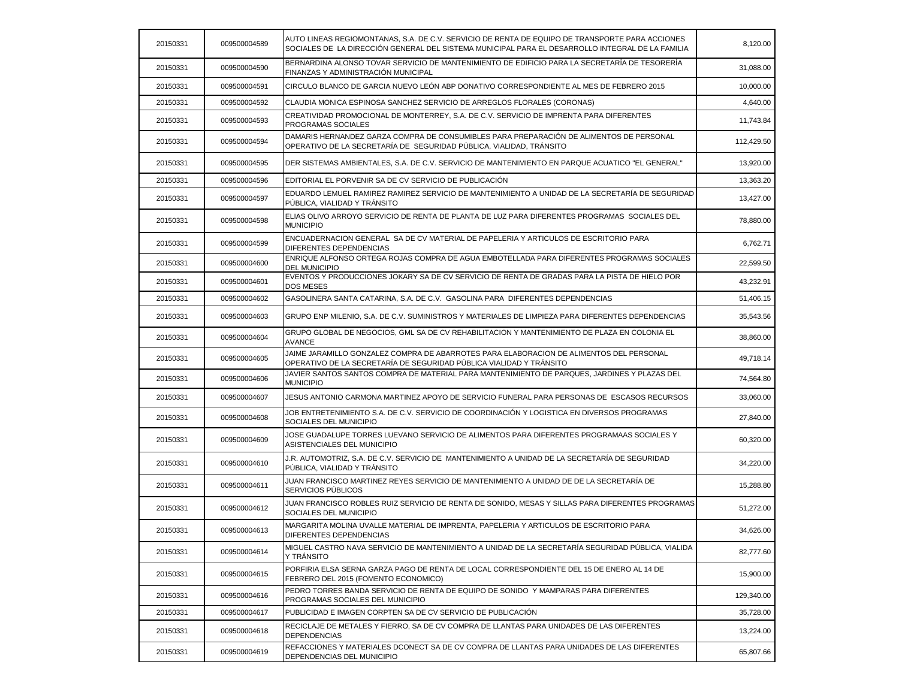| 20150331 | 009500004589 | AUTO LINEAS REGIOMONTANAS, S.A. DE C.V. SERVICIO DE RENTA DE EQUIPO DE TRANSPORTE PARA ACCIONES<br>SOCIALES DE LA DIRECCIÓN GENERAL DEL SISTEMA MUNICIPAL PARA EL DESARROLLO INTEGRAL DE LA FAMILIA | 8,120.00   |
|----------|--------------|-----------------------------------------------------------------------------------------------------------------------------------------------------------------------------------------------------|------------|
| 20150331 | 009500004590 | BERNARDINA ALONSO TOVAR SERVICIO DE MANTENIMIENTO DE EDIFICIO PARA LA SECRETARÍA DE TESORERÍA<br>FINANZAS Y ADMINISTRACIÓN MUNICIPAL                                                                | 31,088.00  |
| 20150331 | 009500004591 | CIRCULO BLANCO DE GARCIA NUEVO LEÓN ABP DONATIVO CORRESPONDIENTE AL MES DE FEBRERO 2015                                                                                                             | 10,000.00  |
| 20150331 | 009500004592 | CLAUDIA MONICA ESPINOSA SANCHEZ SERVICIO DE ARREGLOS FLORALES (CORONAS)                                                                                                                             | 4,640.00   |
| 20150331 | 009500004593 | CREATIVIDAD PROMOCIONAL DE MONTERREY, S.A. DE C.V. SERVICIO DE IMPRENTA PARA DIFERENTES<br>PROGRAMAS SOCIALES                                                                                       | 11,743.84  |
| 20150331 | 009500004594 | DAMARIS HERNANDEZ GARZA COMPRA DE CONSUMIBLES PARA PREPARACIÓN DE ALIMENTOS DE PERSONAL<br>OPERATIVO DE LA SECRETARÍA DE SEGURIDAD PÚBLICA, VIALIDAD, TRÁNSITO                                      | 112,429.50 |
| 20150331 | 009500004595 | DER SISTEMAS AMBIENTALES, S.A. DE C.V. SERVICIO DE MANTENIMIENTO EN PARQUE ACUATICO "EL GENERAL"                                                                                                    | 13,920.00  |
| 20150331 | 009500004596 | EDITORIAL EL PORVENIR SA DE CV SERVICIO DE PUBLICACIÓN                                                                                                                                              | 13,363.20  |
| 20150331 | 009500004597 | EDUARDO LEMUEL RAMIREZ RAMIREZ SERVICIO DE MANTENIMIENTO A UNIDAD DE LA SECRETARÍA DE SEGURIDAD<br>PÚBLICA, VIALIDAD Y TRÁNSITO                                                                     | 13,427.00  |
| 20150331 | 009500004598 | ELIAS OLIVO ARROYO SERVICIO DE RENTA DE PLANTA DE LUZ PARA DIFERENTES PROGRAMAS SOCIALES DEL<br><b>MUNICIPIO</b>                                                                                    | 78,880.00  |
| 20150331 | 009500004599 | ENCUADERNACION GENERAL SA DE CV MATERIAL DE PAPELERIA Y ARTICULOS DE ESCRITORIO PARA<br>DIFERENTES DEPENDENCIAS                                                                                     | 6,762.71   |
| 20150331 | 009500004600 | ENRIQUE ALFONSO ORTEGA ROJAS COMPRA DE AGUA EMBOTELLADA PARA DIFERENTES PROGRAMAS SOCIALES<br><b>DEL MUNICIPIO</b>                                                                                  | 22.599.50  |
| 20150331 | 009500004601 | EVENTOS Y PRODUCCIONES JOKARY SA DE CV SERVICIO DE RENTA DE GRADAS PARA LA PISTA DE HIELO POR<br>DOS MESES                                                                                          | 43,232.91  |
| 20150331 | 009500004602 | GASOLINERA SANTA CATARINA, S.A. DE C.V. GASOLINA PARA DIFERENTES DEPENDENCIAS                                                                                                                       | 51,406.15  |
| 20150331 | 009500004603 | GRUPO ENP MILENIO, S.A. DE C.V. SUMINISTROS Y MATERIALES DE LIMPIEZA PARA DIFERENTES DEPENDENCIAS                                                                                                   | 35,543.56  |
| 20150331 | 009500004604 | GRUPO GLOBAL DE NEGOCIOS, GML SA DE CV REHABILITACION Y MANTENIMIENTO DE PLAZA EN COLONIA EL<br><b>AVANCE</b>                                                                                       | 38,860.00  |
| 20150331 | 009500004605 | JAIME JARAMILLO GONZALEZ COMPRA DE ABARROTES PARA ELABORACION DE ALIMENTOS DEL PERSONAL<br>OPERATIVO DE LA SECRETARÍA DE SEGURIDAD PÚBLICA VIALIDAD Y TRÁNSITO                                      | 49,718.14  |
| 20150331 | 009500004606 | JAVIER SANTOS SANTOS COMPRA DE MATERIAL PARA MANTENIMIENTO DE PARQUES, JARDINES Y PLAZAS DEL<br><b>MUNICIPIO</b>                                                                                    | 74,564.80  |
| 20150331 | 009500004607 | JESUS ANTONIO CARMONA MARTINEZ APOYO DE SERVICIO FUNERAL PARA PERSONAS DE ESCASOS RECURSOS                                                                                                          | 33,060.00  |
| 20150331 | 009500004608 | JOB ENTRETENIMIENTO S.A. DE C.V. SERVICIO DE COORDINACIÓN Y LOGISTICA EN DIVERSOS PROGRAMAS<br>SOCIALES DEL MUNICIPIO                                                                               | 27,840.00  |
| 20150331 | 009500004609 | JOSE GUADALUPE TORRES LUEVANO SERVICIO DE ALIMENTOS PARA DIFERENTES PROGRAMAAS SOCIALES Y<br>ASISTENCIALES DEL MUNICIPIO                                                                            | 60,320.00  |
| 20150331 | 009500004610 | J.R. AUTOMOTRIZ, S.A. DE C.V. SERVICIO DE MANTENIMIENTO A UNIDAD DE LA SECRETARÍA DE SEGURIDAD<br>PÚBLICA, VIALIDAD Y TRÁNSITO                                                                      | 34,220.00  |
| 20150331 | 009500004611 | JUAN FRANCISCO MARTINEZ REYES SERVICIO DE MANTENIMIENTO A UNIDAD DE DE LA SECRETARÍA DE<br><b>SERVICIOS PUBLICOS</b>                                                                                | 15,288.80  |
| 20150331 | 009500004612 | JUAN FRANCISCO ROBLES RUIZ SERVICIO DE RENTA DE SONIDO, MESAS Y SILLAS PARA DIFERENTES PROGRAMAS<br>SOCIALES DEL MUNICIPIO                                                                          | 51,272.00  |
| 20150331 | 009500004613 | MARGARITA MOLINA UVALLE MATERIAL DE IMPRENTA, PAPELERIA Y ARTICULOS DE ESCRITORIO PARA<br>DIFERENTES DEPENDENCIAS                                                                                   | 34,626.00  |
| 20150331 | 009500004614 | MIGUEL CASTRO NAVA SERVICIO DE MANTENIMIENTO A UNIDAD DE LA SECRETARÍA SEGURIDAD PÚBLICA, VIALIDA<br>Y TRANSITO                                                                                     | 82,777.60  |
| 20150331 | 009500004615 | PORFIRIA ELSA SERNA GARZA PAGO DE RENTA DE LOCAL CORRESPONDIENTE DEL 15 DE ENERO AL 14 DE<br>FEBRERO DEL 2015 (FOMENTO ECONOMICO)                                                                   | 15,900.00  |
| 20150331 | 009500004616 | PEDRO TORRES BANDA SERVICIO DE RENTA DE EQUIPO DE SONIDO Y MAMPARAS PARA DIFERENTES<br>PROGRAMAS SOCIALES DEL MUNICIPIO                                                                             | 129,340.00 |
| 20150331 | 009500004617 | PUBLICIDAD E IMAGEN CORPTEN SA DE CV SERVICIO DE PUBLICACIÓN                                                                                                                                        | 35,728.00  |
| 20150331 | 009500004618 | RECICLAJE DE METALES Y FIERRO, SA DE CV COMPRA DE LLANTAS PARA UNIDADES DE LAS DIFERENTES<br><b>DEPENDENCIAS</b>                                                                                    | 13,224.00  |
| 20150331 | 009500004619 | REFACCIONES Y MATERIALES DCONECT SA DE CV COMPRA DE LLANTAS PARA UNIDADES DE LAS DIFERENTES<br>DEPENDENCIAS DEL MUNICIPIO                                                                           | 65,807.66  |